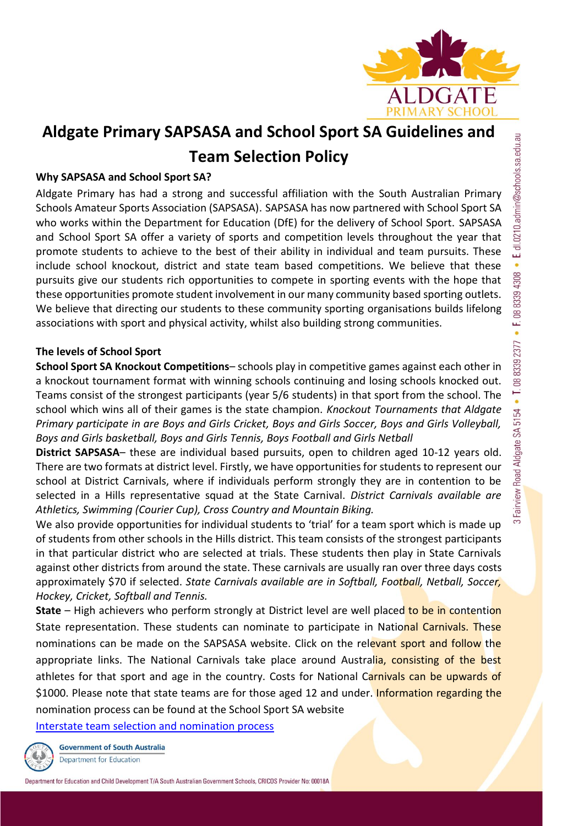

# **Aldgate Primary SAPSASA and School Sport SA Guidelines and Team Selection Policy**

## **Why SAPSASA and School Sport SA?**

Aldgate Primary has had a strong and successful affiliation with the South Australian Primary Schools Amateur Sports Association (SAPSASA). SAPSASA has now partnered with School Sport SA who works within the Department for Education (DfE) for the delivery of School Sport. SAPSASA and School Sport SA offer a variety of sports and competition levels throughout the year that promote students to achieve to the best of their ability in individual and team pursuits. These include school knockout, district and state team based competitions. We believe that these pursuits give our students rich opportunities to compete in sporting events with the hope that these opportunities promote student involvement in our many community based sporting outlets. We believe that directing our students to these community sporting organisations builds lifelong associations with sport and physical activity, whilst also building strong communities.

## **The levels of School Sport**

**School Sport SA Knockout Competitions**– schools play in competitive games against each other in a knockout tournament format with winning schools continuing and losing schools knocked out. Teams consist of the strongest participants (year 5/6 students) in that sport from the school. The school which wins all of their games is the state champion. *Knockout Tournaments that Aldgate Primary participate in are Boys and Girls Cricket, Boys and Girls Soccer, Boys and Girls Volleyball, Boys and Girls basketball, Boys and Girls Tennis, Boys Football and Girls Netball*

**District SAPSASA**– these are individual based pursuits, open to children aged 10-12 years old. There are two formats at district level. Firstly, we have opportunities for students to represent our school at District Carnivals, where if individuals perform strongly they are in contention to be selected in a Hills representative squad at the State Carnival. *District Carnivals available are Athletics, Swimming (Courier Cup), Cross Country and Mountain Biking.* 

We also provide opportunities for individual students to 'trial' for a team sport which is made up of students from other schools in the Hills district. This team consists of the strongest participants in that particular district who are selected at trials. These students then play in State Carnivals against other districts from around the state. These carnivals are usually ran over three days costs approximately \$70 if selected. *State Carnivals available are in Softball, Football, Netball, Soccer, Hockey, Cricket, Softball and Tennis.*

**State** – High achievers who perform strongly at District level are well placed to be in contention State representation. These students can nominate to participate in National Carnivals. These nominations can be made on the SAPSASA website. Click on the relevant sport and follow the appropriate links. The National Carnivals take place around Australia, consisting of the best athletes for that sport and age in the country. Costs for National Carnivals can be upwards of \$1000. Please note that state teams are for those aged 12 and under. Information regarding the nomination process can be found at the School Sport SA website

[Interstate team selection and nomination process](https://www.education.sa.gov.au/schools-and-educators/programs-students/school-sport-sa/competitions/interstate-team-selection-and-nomination-process)

**Government of South Australia** Department for Education